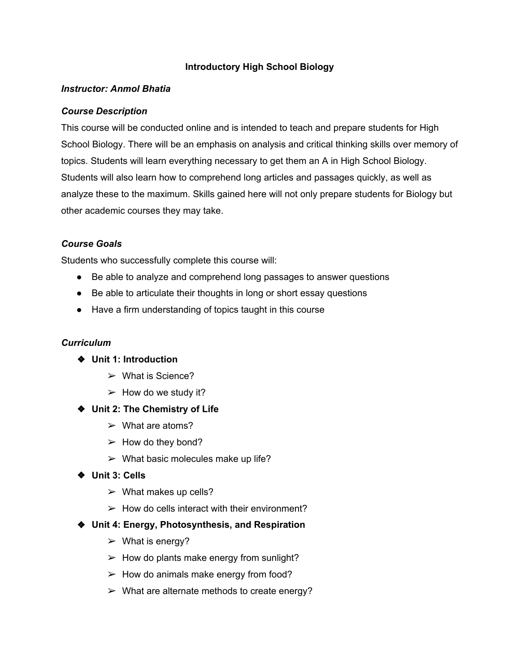### **Introductory High School Biology**

### *Instructor: Anmol Bhatia*

#### *Course Description*

This course will be conducted online and is intended to teach and prepare students for High School Biology. There will be an emphasis on analysis and critical thinking skills over memory of topics. Students will learn everything necessary to get them an A in High School Biology. Students will also learn how to comprehend long articles and passages quickly, as well as analyze these to the maximum. Skills gained here will not only prepare students for Biology but other academic courses they may take.

#### *Course Goals*

Students who successfully complete this course will:

- Be able to analyze and comprehend long passages to answer questions
- Be able to articulate their thoughts in long or short essay questions
- Have a firm understanding of topics taught in this course

#### *Curriculum*

- ❖ **Unit 1: Introduction**
	- $\triangleright$  What is Science?
	- $\triangleright$  How do we study it?
- ❖ **Unit 2: The Chemistry of Life**
	- $\triangleright$  What are atoms?
	- $\triangleright$  How do they bond?
	- $\triangleright$  What basic molecules make up life?
- ❖ **Unit 3: Cells**
	- $\triangleright$  What makes up cells?
	- $\geq$  How do cells interact with their environment?
- ❖ **Unit 4: Energy, Photosynthesis, and Respiration**
	- $\triangleright$  What is energy?
	- $\triangleright$  How do plants make energy from sunlight?
	- $\triangleright$  How do animals make energy from food?
	- $\triangleright$  What are alternate methods to create energy?